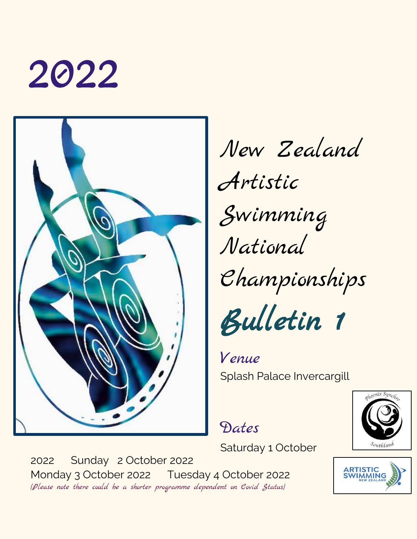



New Zealand Artistic Swimming National Championships Bulletin 1

Venue Splash Palace Invercargill

Dates

Saturday 1 October

2022 Sunday 2 October 2022 Monday 3 October 2022 Tuesday 4 October 2022 (Please note there could be a shorter programme dependent on Covid Status)



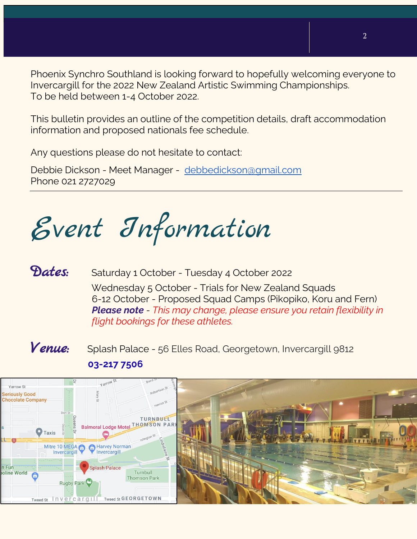Phoenix Synchro Southland is looking forward to hopefully welcoming everyone to Invercargill for the 2022 New Zealand Artistic Swimming Championships. To be held between 1-4 October 2022.

This bulletin provides an outline of the competition details, draft accommodation information and proposed nationals fee schedule.

Any questions please do not hesitate to contact:

Debbie Dickson - Meet Manager - [debbedickson@gmail.com](mailto:debbedickson@gmail.com) Phone 021 2727029

Event Information

#### **Dates:** Saturday 1 October - Tuesday 4 October 2022

 Wednesday 5 October - Trials for New Zealand Squads 6-12 October - Proposed Squad Camps (Pikopiko, Koru and Fern) *Please note - This may change, please ensure you retain flexibility in flight bookings for these athletes.*

*Venue***:** Splash Palace - 56 Elles Road, Georgetown, Invercargill 9812 **[03-217 7506](https://www.google.com/search?q=splash+palace&oq=splash+P&aqs=chrome.0.0i355j46i175i199j46i175i199i433j69i57j0l3j69i60.4736j0j7&sourceid=chrome&ie=UTF-8)**

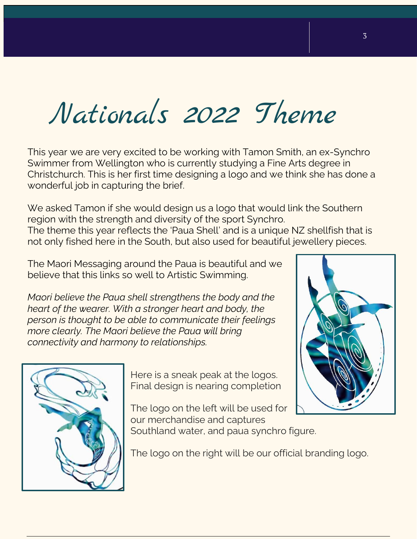# Nationals 2022 Theme

This year we are very excited to be working with Tamon Smith, an ex-Synchro Swimmer from Wellington who is currently studying a Fine Arts degree in Christchurch. This is her first time designing a logo and we think she has done a wonderful job in capturing the brief.

We asked Tamon if she would design us a logo that would link the Southern region with the strength and diversity of the sport Synchro. The theme this year reflects the 'Paua Shell' and is a unique NZ shellfish that is not only fished here in the South, but also used for beautiful jewellery pieces.

The Maori Messaging around the Paua is beautiful and we believe that this links so well to Artistic Swimming.

*Maori believe the Paua shell strengthens the body and the heart of the wearer. With a stronger heart and body, the person is thought to be able to communicate their feelings more clearly. The Maori believe the Paua will bring connectivity and harmony to relationships.*



Here is a sneak peak at the logos. Final design is nearing completion

The logo on the left will be used for our merchandise and captures Southland water, and paua synchro figure.



The logo on the right will be our official branding logo.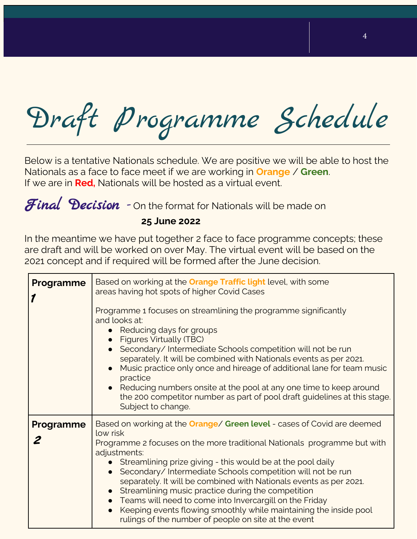Draft Programme Schedule

Below is a tentative Nationals schedule. We are positive we will be able to host the Nationals as a face to face meet if we are working in **Orange** / **Green**. If we are in **Red,** Nationals will be hosted as a virtual event.

Final Decision - On the format for Nationals will be made on

#### **25 June 2022**

In the meantime we have put together 2 face to face programme concepts; these are draft and will be worked on over May. The virtual event will be based on the 2021 concept and if required will be formed after the June decision.

| <b>Programme</b> | Based on working at the <b>Orange Traffic light</b> level, with some<br>areas having hot spots of higher Covid Cases<br>Programme 1 focuses on streamlining the programme significantly<br>and looks at:<br>Reducing days for groups<br><b>Figures Virtually (TBC)</b><br>Secondary/Intermediate Schools competition will not be run<br>separately. It will be combined with Nationals events as per 2021.<br>Music practice only once and hireage of additional lane for team music<br>practice<br>• Reducing numbers onsite at the pool at any one time to keep around<br>the 200 competitor number as part of pool draft guidelines at this stage.<br>Subject to change. |
|------------------|-----------------------------------------------------------------------------------------------------------------------------------------------------------------------------------------------------------------------------------------------------------------------------------------------------------------------------------------------------------------------------------------------------------------------------------------------------------------------------------------------------------------------------------------------------------------------------------------------------------------------------------------------------------------------------|
| Programme        | Based on working at the <b>Orange/ Green level</b> - cases of Covid are deemed<br>low risk<br>Programme 2 focuses on the more traditional Nationals programme but with<br>adjustments:<br>Streamlining prize giving - this would be at the pool daily<br>Secondary/Intermediate Schools competition will not be run<br>separately. It will be combined with Nationals events as per 2021.<br>Streamlining music practice during the competition<br>• Teams will need to come into Invercargill on the Friday<br>Keeping events flowing smoothly while maintaining the inside pool<br>rulings of the number of people on site at the event                                   |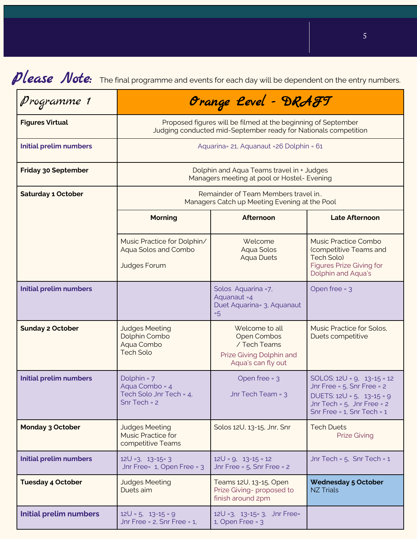*Please Note*: The final programme and events for each day will be dependent on the entry numbers.

| Programme 1                                                                                                   |                                                                                                                                  | Orange Level - DRAFT                                                                            |                                                                                                                                                                     |  |
|---------------------------------------------------------------------------------------------------------------|----------------------------------------------------------------------------------------------------------------------------------|-------------------------------------------------------------------------------------------------|---------------------------------------------------------------------------------------------------------------------------------------------------------------------|--|
| <b>Figures Virtual</b>                                                                                        | Proposed figures will be filmed at the beginning of September<br>Judging conducted mid-September ready for Nationals competition |                                                                                                 |                                                                                                                                                                     |  |
| <b>Initial prelim numbers</b>                                                                                 | Aquarina= 21, Aquanaut = 26 Dolphin = 61                                                                                         |                                                                                                 |                                                                                                                                                                     |  |
| <b>Friday 30 September</b>                                                                                    | Dolphin and Aqua Teams travel in + Judges<br>Managers meeting at pool or Hostel- Evening                                         |                                                                                                 |                                                                                                                                                                     |  |
| <b>Saturday 1 October</b>                                                                                     | Remainder of Team Members travel in<br>Managers Catch up Meeting Evening at the Pool                                             |                                                                                                 |                                                                                                                                                                     |  |
|                                                                                                               | <b>Morning</b>                                                                                                                   | <b>Afternoon</b>                                                                                | <b>Late Afternoon</b>                                                                                                                                               |  |
|                                                                                                               | Music Practice for Dolphin/<br>Aqua Solos and Combo<br><b>Judges Forum</b>                                                       | Welcome<br>Aqua Solos<br><b>Aqua Duets</b>                                                      | Music Practice Combo<br>(competitive Teams and<br>Tech Solo)<br><b>Figures Prize Giving for</b><br>Dolphin and Aqua's                                               |  |
| <b>Initial prelim numbers</b>                                                                                 |                                                                                                                                  | Solos Aquarina = 7,<br>Aquanaut =4<br>Duet Aquarina= 3, Aquanaut<br>$=5$                        | Open free = 3                                                                                                                                                       |  |
| <b>Sunday 2 October</b><br><b>Judges Meeting</b><br>Dolphin Combo<br>Aqua Combo<br><b>Tech Solo</b>           |                                                                                                                                  | Welcome to all<br>Open Combos<br>/ Tech Teams<br>Prize Giving Dolphin and<br>Aqua's can fly out | Music Practice for Solos,<br>Duets competitive                                                                                                                      |  |
| <b>Initial prelim numbers</b><br>Dolphin = 7<br>Aqua Combo = 4<br>Tech Solo Jnr Tech = 4.<br>$Snr$ Tech = $2$ |                                                                                                                                  | Open free = 3<br>Jnr Tech Team = ว                                                              | SOLOS: $12U = 9$ , $13-15 = 12$<br>Jnr Free = $5$ , Snr Free = $2$<br>DUETS: $12U = 5$ , $13-15=9$<br>Jnr Tech = $5$ , Jnr Free = $2$<br>Snr Free = 1, Snr Tech = 1 |  |
| <b>Monday 3 October</b>                                                                                       | <b>Judges Meeting</b><br><b>Music Practice for</b><br>competitive Teams                                                          | Solos 12U, 13-15, Jnr, Snr                                                                      | <b>Tech Duets</b><br><b>Prize Giving</b>                                                                                                                            |  |
| <b>Initial prelim numbers</b><br>$12U = 3, 13-15=3$<br>Jnr Free= 1, Open Free = 3                             |                                                                                                                                  | $12U = 9$ , $13-15 = 12$<br>Jnr Free = $5$ , Snr Free = $2$                                     | Jnr Tech = 5, Snr Tech = 1                                                                                                                                          |  |
| <b>Tuesday 4 October</b><br><b>Judges Meeting</b><br>Duets aim                                                |                                                                                                                                  | Teams 12U, 13-15, Open<br>Prize Giving- proposed to<br>finish around 2pm                        | <b>Wednesday 5 October</b><br><b>NZ Trials</b>                                                                                                                      |  |
| <b>Initial prelim numbers</b>                                                                                 | $12U = 5$ , $13-15 = 9$<br>Jnr Free = $2$ , Snr Free = $1$ ,                                                                     | 12U = 3, 13-15 = 3, Jnr Free =<br>$1,$ Open Free = $3$                                          |                                                                                                                                                                     |  |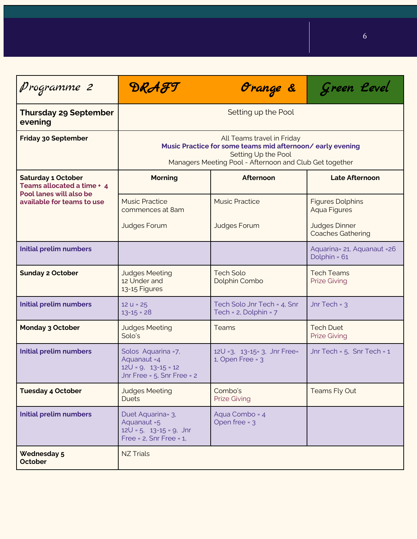| Programme 2                                                                        | DRAFT<br>Orange &                                                                                                                                                         |                                                        | Green Level                                      |  |
|------------------------------------------------------------------------------------|---------------------------------------------------------------------------------------------------------------------------------------------------------------------------|--------------------------------------------------------|--------------------------------------------------|--|
| <b>Thursday 29 September</b><br>evening                                            | Setting up the Pool                                                                                                                                                       |                                                        |                                                  |  |
| <b>Friday 30 September</b>                                                         | All Teams travel in Friday<br>Music Practice for some teams mid afternoon/early evening<br>Setting Up the Pool<br>Managers Meeting Pool - Afternoon and Club Get together |                                                        |                                                  |  |
| <b>Saturday 1 October</b><br>Teams allocated a time + 4<br>Pool lanes will also be | <b>Morning</b>                                                                                                                                                            | Afternoon                                              | <b>Late Afternoon</b>                            |  |
| available for teams to use                                                         | <b>Music Practice</b><br>commences at 8am                                                                                                                                 | <b>Music Practice</b>                                  | <b>Figures Dolphins</b><br><b>Aqua Figures</b>   |  |
|                                                                                    | <b>Judges Forum</b>                                                                                                                                                       | <b>Judges Forum</b>                                    | <b>Judges Dinner</b><br><b>Coaches Gathering</b> |  |
| <b>Initial prelim numbers</b>                                                      |                                                                                                                                                                           |                                                        | Aquarina= 21, Aquanaut = 26<br>Dolphin = 61      |  |
| <b>Sunday 2 October</b>                                                            | <b>Judges Meeting</b><br>12 Under and<br>13-15 Figures                                                                                                                    | <b>Tech Solo</b><br>Dolphin Combo                      | <b>Tech Teams</b><br><b>Prize Giving</b>         |  |
| <b>Initial prelim numbers</b>                                                      | $12 u = 25$<br>$13 - 15 = 28$                                                                                                                                             | Tech Solo Jnr Tech = 4, Snr<br>Tech = 2, Dolphin = 7   | Jnr Tech = $3$                                   |  |
| <b>Monday 3 October</b>                                                            | <b>Judges Meeting</b><br>Solo's                                                                                                                                           | <b>Teams</b>                                           | <b>Tech Duet</b><br><b>Prize Giving</b>          |  |
| <b>Initial prelim numbers</b>                                                      | Solos Aquarina = 7,<br>Aquanaut = 4<br>$12U = 9, 13-15 = 12$<br>Jnr Free = $5$ , Snr Free = $2$                                                                           | 12U = 3, 13-15 = 3, Jnr Free =<br>$1,$ Open Free = $3$ | Jnr Tech = $5$ , Snr Tech = $1$                  |  |
| <b>Tuesday 4 October</b>                                                           | <b>Judges Meeting</b><br><b>Duets</b>                                                                                                                                     | Combo's<br><b>Prize Giving</b>                         | Teams Fly Out                                    |  |
| <b>Initial prelim numbers</b>                                                      | Duet Aquarina= 3,<br>Aquanaut = 5<br>$12U = 5$ , $13-15 = 9$ , Jnr<br>Free = $2$ , Snr Free = $1$ ,                                                                       | Aqua Combo = 4<br>Open free = 3                        |                                                  |  |
| <b>Wednesday 5</b><br><b>October</b>                                               | <b>NZ Trials</b>                                                                                                                                                          |                                                        |                                                  |  |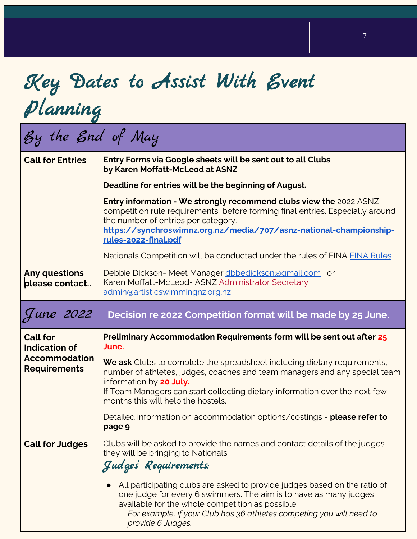## Key Dates to Assist With Event Planning

## By the End of May

| <b>Call for Entries</b>                     | Entry Forms via Google sheets will be sent out to all Clubs<br>by Karen Moffatt-McLeod at ASNZ                                                                                                                                                                                                  |  |  |  |
|---------------------------------------------|-------------------------------------------------------------------------------------------------------------------------------------------------------------------------------------------------------------------------------------------------------------------------------------------------|--|--|--|
|                                             | Deadline for entries will be the beginning of August.                                                                                                                                                                                                                                           |  |  |  |
|                                             | Entry information - We strongly recommend clubs view the 2022 ASNZ<br>competition rule requirements before forming final entries. Especially around<br>the number of entries per category.<br>https://synchroswimnz.org.nz/media/707/asnz-national-championship-<br>rules-2022-final.pdf        |  |  |  |
|                                             | Nationals Competition will be conducted under the rules of FINA FINA Rules                                                                                                                                                                                                                      |  |  |  |
| <b>Any questions</b><br>please contact      | Debbie Dickson-Meet Manager dbbedickson@gmail.com or<br>Karen Moffatt-McLeod- ASNZ Administrator Secretary<br>admin@artisticswimmingnz.org.nz                                                                                                                                                   |  |  |  |
| June 2022                                   | Decision re 2022 Competition format will be made by 25 June.                                                                                                                                                                                                                                    |  |  |  |
| <b>Call for</b><br><b>Indication of</b>     | Preliminary Accommodation Requirements form will be sent out after 25<br>June.                                                                                                                                                                                                                  |  |  |  |
| <b>Accommodation</b><br><b>Requirements</b> | We ask Clubs to complete the spreadsheet including dietary requirements,<br>number of athletes, judges, coaches and team managers and any special team<br>information by 20 July.                                                                                                               |  |  |  |
|                                             | If Team Managers can start collecting dietary information over the next few<br>months this will help the hostels.                                                                                                                                                                               |  |  |  |
|                                             | Detailed information on accommodation options/costings - please refer to<br>page 9                                                                                                                                                                                                              |  |  |  |
| <b>Call for Judges</b>                      | Clubs will be asked to provide the names and contact details of the judges<br>they will be bringing to Nationals.<br>Judges Requirements:                                                                                                                                                       |  |  |  |
|                                             | All participating clubs are asked to provide judges based on the ratio of<br>one judge for every 6 swimmers. The aim is to have as many judges<br>available for the whole competition as possible.<br>For example, if your Club has 36 athletes competing you will need to<br>provide 6 Judges. |  |  |  |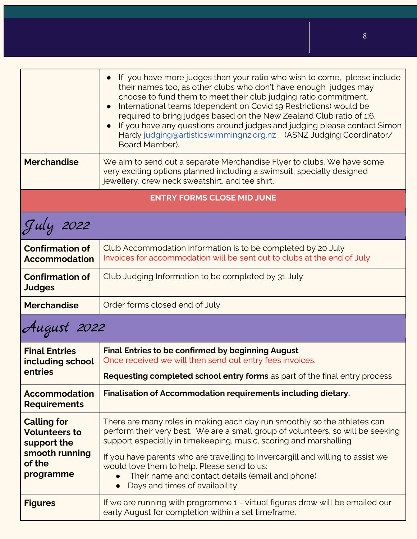|                                                                                                    | If you have more judges than your ratio who wish to come, please include<br>their names too, as other clubs who don't have enough judges may<br>choose to fund them to meet their club judging ratio commitment.<br>International teams (dependent on Covid 19 Restrictions) would be<br>required to bring judges based on the New Zealand Club ratio of 1:6.<br>If you have any questions around judges and judging please contact Simon<br>Hardy judging@artisticswimmingnz.org.nz (ASNZ Judging Coordinator/<br>Board Member). |  |  |  |  |
|----------------------------------------------------------------------------------------------------|-----------------------------------------------------------------------------------------------------------------------------------------------------------------------------------------------------------------------------------------------------------------------------------------------------------------------------------------------------------------------------------------------------------------------------------------------------------------------------------------------------------------------------------|--|--|--|--|
| <b>Merchandise</b>                                                                                 | We aim to send out a separate Merchandise Flyer to clubs. We have some<br>very exciting options planned including a swimsuit, specially designed<br>jewellery, crew neck sweatshirt, and tee shirt                                                                                                                                                                                                                                                                                                                                |  |  |  |  |
| <b>ENTRY FORMS CLOSE MID JUNE</b>                                                                  |                                                                                                                                                                                                                                                                                                                                                                                                                                                                                                                                   |  |  |  |  |
| July 2022                                                                                          |                                                                                                                                                                                                                                                                                                                                                                                                                                                                                                                                   |  |  |  |  |
| <b>Confirmation of</b><br><b>Accommodation</b>                                                     | Club Accommodation Information is to be completed by 20 July<br>Invoices for accommodation will be sent out to clubs at the end of July                                                                                                                                                                                                                                                                                                                                                                                           |  |  |  |  |
| <b>Confirmation of</b><br><b>Judges</b>                                                            | Club Judging Information to be completed by 31 July                                                                                                                                                                                                                                                                                                                                                                                                                                                                               |  |  |  |  |
| <b>Merchandise</b>                                                                                 | Order forms closed end of July                                                                                                                                                                                                                                                                                                                                                                                                                                                                                                    |  |  |  |  |
| August 2022                                                                                        |                                                                                                                                                                                                                                                                                                                                                                                                                                                                                                                                   |  |  |  |  |
| <b>Final Entries</b><br>including school<br>entries                                                | <b>Final Entries to be confirmed by beginning August</b><br>Once received we will then send out entry fees invoices.<br>Requesting completed school entry forms as part of the final entry process                                                                                                                                                                                                                                                                                                                                |  |  |  |  |
| <b>Accommodation</b><br><b>Requirements</b>                                                        | Finalisation of Accommodation requirements including dietary.                                                                                                                                                                                                                                                                                                                                                                                                                                                                     |  |  |  |  |
| <b>Calling for</b><br><b>Volunteers to</b><br>support the<br>smooth running<br>of the<br>programme | There are many roles in making each day run smoothly so the athletes can<br>perform their very best. We are a small group of volunteers, so will be seeking<br>support especially in timekeeping, music, scoring and marshalling<br>If you have parents who are travelling to Invercargill and willing to assist we<br>would love them to help. Please send to us:<br>Their name and contact details (email and phone)<br>Days and times of availability<br>$\bullet$                                                             |  |  |  |  |
| <b>Figures</b>                                                                                     | If we are running with programme 1 - virtual figures draw will be emailed our<br>early August for completion within a set timeframe.                                                                                                                                                                                                                                                                                                                                                                                              |  |  |  |  |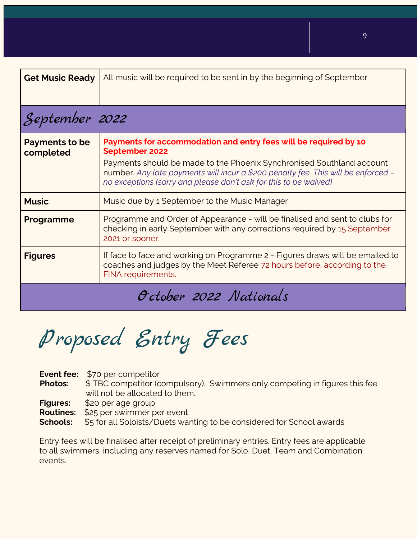| <b>Get Music Ready</b>      | All music will be required to be sent in by the beginning of September                                                                                                                                                                                                                                               |  |  |  |
|-----------------------------|----------------------------------------------------------------------------------------------------------------------------------------------------------------------------------------------------------------------------------------------------------------------------------------------------------------------|--|--|--|
| September 2022              |                                                                                                                                                                                                                                                                                                                      |  |  |  |
| Payments to be<br>completed | Payments for accommodation and entry fees will be required by 10<br>September 2022<br>Payments should be made to the Phoenix Synchronised Southland account<br>number. Any late payments will incur a \$200 penalty fee. This will be enforced -<br>no exceptions (sorry and please don't ask for this to be waived) |  |  |  |
| <b>Music</b>                | Music due by 1 September to the Music Manager                                                                                                                                                                                                                                                                        |  |  |  |
| Programme                   | Programme and Order of Appearance - will be finalised and sent to clubs for<br>checking in early September with any corrections required by 15 September<br>2021 or sooner.                                                                                                                                          |  |  |  |
| <b>Figures</b>              | If face to face and working on Programme 2 - Figures draws will be emailed to<br>coaches and judges by the Meet Referee 72 hours before, according to the<br>FINA requirements.                                                                                                                                      |  |  |  |
| October 2022 Nationals      |                                                                                                                                                                                                                                                                                                                      |  |  |  |

Proposed Entry Fees

| <b>Photos:</b>  | <b>Event fee:</b> \$70 per competitor<br>\$TBC competitor (compulsory). Swimmers only competing in figures this fee<br>will not be allocated to them. |
|-----------------|-------------------------------------------------------------------------------------------------------------------------------------------------------|
| <b>Figures:</b> | \$20 per age group                                                                                                                                    |
|                 | <b>Routines:</b> \$25 per swimmer per event                                                                                                           |
| Schools:        | \$5 for all Soloists/Duets wanting to be considered for School awards                                                                                 |

Entry fees will be finalised after receipt of preliminary entries. Entry fees are applicable to all swimmers, including any reserves named for Solo, Duet, Team and Combination events.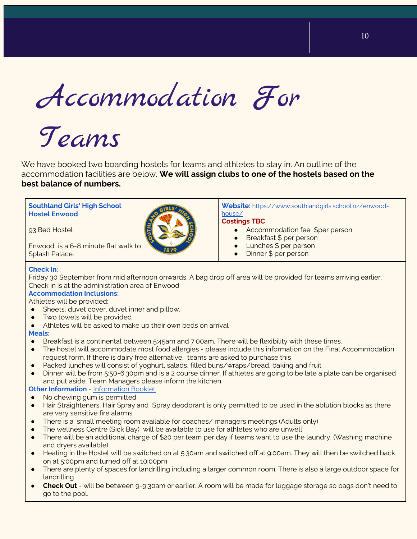Accommodation For

# Teams

We have booked two boarding hostels for teams and athletes to stay in. An outline of the accommodation facilities are below. **We will assign clubs to one of the hostels based on the best balance of numbers.**

#### **Southland Girls' High School Hostel Enwood**

93 Bed Hostel

Enwood is a 6-8 minute flat walk to Splash Palace.

**Website:** [https://www.southlandgirls.school.nz/enwood](https://www.southlandgirls.school.nz/enwood-house/)[house/](https://www.southlandgirls.school.nz/enwood-house/)

#### **Costings TBC**

- Accommodation fee \$per person
- Breakfast \$ per person
- Lunches \$ per person
- Dinner \$ per person

#### **Check In**:

Friday 30 September from mid afternoon onwards. A bag drop off area will be provided for teams arriving earlier. Check in is at the administration area of Enwood

#### **Accommodation Inclusions:**

Athletes will be provided:

- Sheets, duvet cover, duvet inner and pillow.
- Two towels will be provided
- Athletes will be asked to make up their own beds on arrival

#### **Meals:**

- Breakfast is a continental between 5:45am and 7:00am. There will be flexibility with these times.
- The hostel will accommodate most food allergies please include this information on the Final Accommodation request form. If there is dairy free alternative, teams are asked to purchase this
- Packed lunches will consist of yoghurt, salads, filled buns/wraps/bread, baking and fruit
- Dinner will be from 5:50-6:30pm and is a 2 course dinner. If athletes are going to be late a plate can be organised and put aside. Team Managers please inform the kitchen.

#### **Other Information** - [Information Booklet](https://drive.google.com/file/d/1YC2Zx9M_95SRNtMLJBcog5_EhKpGpW0S/view?usp=sharing)

- No chewing gum is permitted
- Hair Straighteners, Hair Spray and Spray deodorant is only permitted to be used in the ablution blocks as there are very sensitive fire alarms
- There is a small meeting room available for coaches/ managers meetings (Adults only)
- The wellness Centre (Sick Bay) will be available to use for athletes who are unwell
- There will be an additional charge of \$20 per team per day if teams want to use the laundry. (Washing machine and dryers available)
- Heating in the Hostel will be switched on at 5:30am and switched off at 9:00am. They will then be switched back on at 5:00pm and turned off at 10:00pm
- There are plenty of spaces for landrilling including a larger common room. There is also a large outdoor space for landrilling
- **Check Out** will be between 9-9:30am or earlier. A room will be made for luggage storage so bags don't need to go to the pool.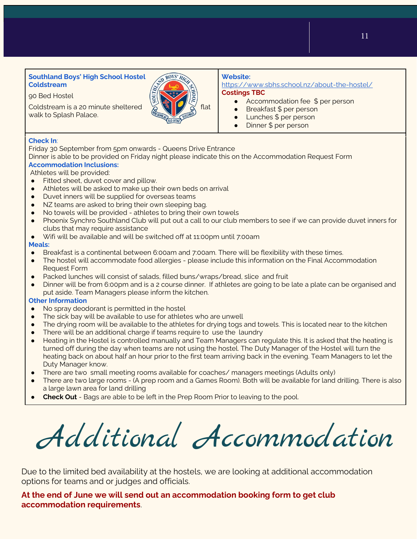#### **Southland Boys' High School Hostel Coldstream**

90 Bed Hostel

Coldstream is a 20 minute sheltered  $\frac{1}{2}$   $\frac{1}{2}$   $\frac{1}{2}$  flat walk to Splash Palace.



#### **Website:**

<https://www.sbhs.school.nz/about-the-hostel/> **Costings TBC**

- Accommodation fee \$ per person
- Breakfast \$ per person
- Lunches \$ per person
- Dinner \$ per person

#### **Check In**:

Friday 30 September from 5pm onwards - Queens Drive Entrance

Dinner is able to be provided on Friday night please indicate this on the Accommodation Request Form **Accommodation Inclusions:**

Athletes will be provided:

- Fitted sheet, duvet cover and pillow.
- Athletes will be asked to make up their own beds on arrival
- Duvet inners will be supplied for overseas teams
- NZ teams are asked to bring their own sleeping bag.
- No towels will be provided athletes to bring their own towels
- Phoenix Synchro Southland Club will put out a call to our club members to see if we can provide duvet inners for clubs that may require assistance
- Wifi will be available and will be switched off at 11:00pm until 7:00am

#### **Meals:**

- Breakfast is a continental between 6:00am and 7:00am. There will be flexibility with these times.
- The hostel will accommodate food allergies please include this information on the Final Accommodation Request Form
- Packed lunches will consist of salads, filled buns/wraps/bread, slice and fruit
- Dinner will be from 6:00pm and is a 2 course dinner. If athletes are going to be late a plate can be organised and put aside. Team Managers please inform the kitchen.

#### **Other Information**

- No spray deodorant is permitted in the hostel
- The sick bay will be available to use for athletes who are unwell
- The drying room will be available to the athletes for drying togs and towels. This is located near to the kitchen
- There will be an additional charge if teams require to use the laundry
- Heating in the Hostel is controlled manually and Team Managers can regulate this. It is asked that the heating is turned off during the day when teams are not using the hostel. The Duty Manager of the Hostel will turn the heating back on about half an hour prior to the first team arriving back in the evening. Team Managers to let the Duty Manager know.
- There are two small meeting rooms available for coaches/ managers meetings (Adults only)
- There are two large rooms (A prep room and a Games Room). Both will be available for land drilling. There is also a large lawn area for land drilling
- **Check Out** Bags are able to be left in the Prep Room Prior to leaving to the pool.

Additional Accommodation

Due to the limited bed availability at the hostels, we are looking at additional accommodation options for teams and or judges and officials.

**At the end of June we will send out an accommodation booking form to get club accommodation requirements**.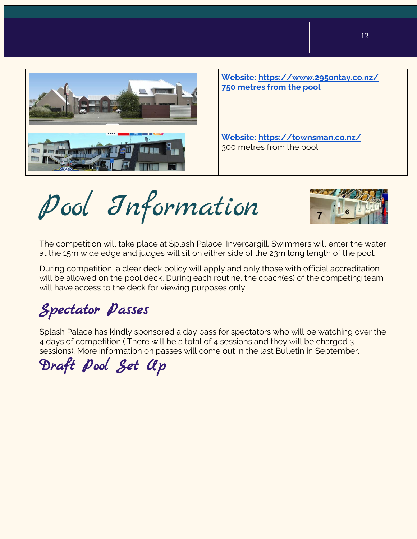

Pool Information



The competition will take place at Splash Palace, Invercargill. Swimmers will enter the water at the 15m wide edge and judges will sit on either side of the 23m long length of the pool.

During competition, a clear deck policy will apply and only those with official accreditation will be allowed on the pool deck. During each routine, the coach(es) of the competing team will have access to the deck for viewing purposes only.

## Spectator Passes

Splash Palace has kindly sponsored a day pass for spectators who will be watching over the 4 days of competition ( There will be a total of 4 sessions and they will be charged 3 sessions). More information on passes will come out in the last Bulletin in September.

Draft Pool Set Up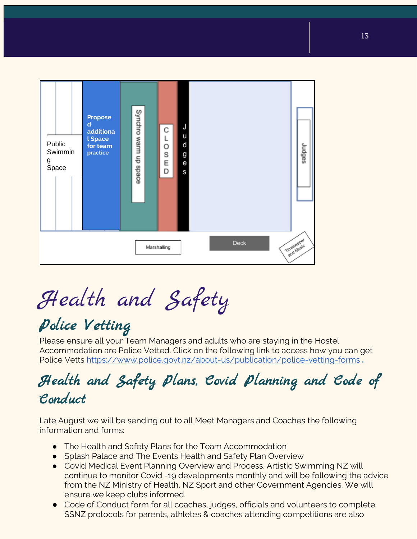| Public<br>Swimmin<br>g<br>Space | Propose<br>$\mathsf{d}$<br>additiona<br><b>L</b> Space<br>for team<br>practice | Synchro warm up<br>abace | J<br>С<br>u<br>d<br>L<br>O<br>S<br>g<br>E<br>e<br>D<br>S |      | Judges     |
|---------------------------------|--------------------------------------------------------------------------------|--------------------------|----------------------------------------------------------|------|------------|
|                                 |                                                                                |                          | Marshalling                                              | Deck | Timekeeper |

Health and Safety

## Police Vetting

Please ensure all your Team Managers and adults who are staying in the Hostel Accommodation are Police Vetted. Click on the following link to access how you can get Police Vetts<https://www.police.govt.nz/about-us/publication/police-vetting-forms> **.**

### Health and Safety Plans, Covid Planning and Code of Conduct

Late August we will be sending out to all Meet Managers and Coaches the following information and forms:

- The Health and Safety Plans for the Team Accommodation
- Splash Palace and The Events Health and Safety Plan Overview
- Covid Medical Event Planning Overview and Process. Artistic Swimming NZ will continue to monitor Covid -19 developments monthly and will be following the advice from the NZ Ministry of Health, NZ Sport and other Government Agencies. We will ensure we keep clubs informed.
- Code of Conduct form for all coaches, judges, officials and volunteers to complete. SSNZ protocols for parents, athletes & coaches attending competitions are also